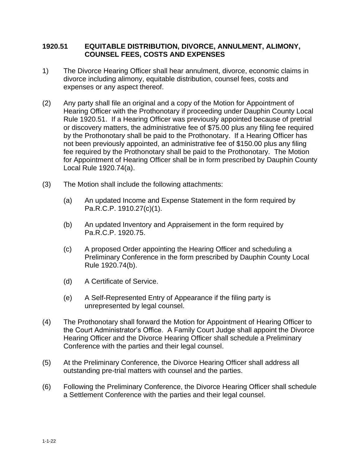## **1920.51 EQUITABLE DISTRIBUTION, DIVORCE, ANNULMENT, ALIMONY, COUNSEL FEES, COSTS AND EXPENSES**

- 1) The Divorce Hearing Officer shall hear annulment, divorce, economic claims in divorce including alimony, equitable distribution, counsel fees, costs and expenses or any aspect thereof.
- (2) Any party shall file an original and a copy of the Motion for Appointment of Hearing Officer with the Prothonotary if proceeding under Dauphin County Local Rule 1920.51. If a Hearing Officer was previously appointed because of pretrial or discovery matters, the administrative fee of \$75.00 plus any filing fee required by the Prothonotary shall be paid to the Prothonotary. If a Hearing Officer has not been previously appointed, an administrative fee of \$150.00 plus any filing fee required by the Prothonotary shall be paid to the Prothonotary. The Motion for Appointment of Hearing Officer shall be in form prescribed by Dauphin County Local Rule 1920.74(a).
- (3) The Motion shall include the following attachments:
	- (a) An updated Income and Expense Statement in the form required by Pa.R.C.P. 1910.27(c)(1).
	- (b) An updated Inventory and Appraisement in the form required by Pa.R.C.P. 1920.75.
	- (c) A proposed Order appointing the Hearing Officer and scheduling a Preliminary Conference in the form prescribed by Dauphin County Local Rule 1920.74(b).
	- (d) A Certificate of Service.
	- (e) A Self-Represented Entry of Appearance if the filing party is unrepresented by legal counsel.
- (4) The Prothonotary shall forward the Motion for Appointment of Hearing Officer to the Court Administrator's Office. A Family Court Judge shall appoint the Divorce Hearing Officer and the Divorce Hearing Officer shall schedule a Preliminary Conference with the parties and their legal counsel.
- (5) At the Preliminary Conference, the Divorce Hearing Officer shall address all outstanding pre-trial matters with counsel and the parties.
- (6) Following the Preliminary Conference, the Divorce Hearing Officer shall schedule a Settlement Conference with the parties and their legal counsel.